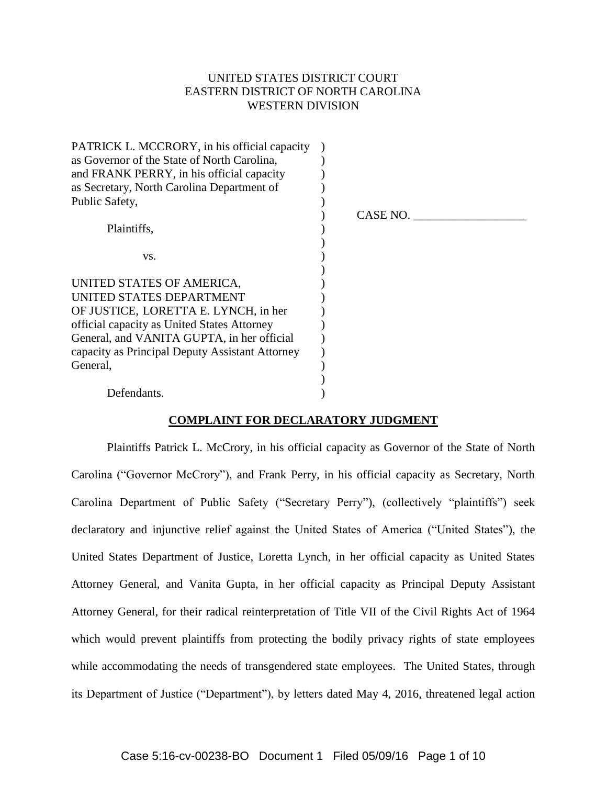# UNITED STATES DISTRICT COURT EASTERN DISTRICT OF NORTH CAROLINA WESTERN DIVISION

| PATRICK L. MCCRORY, in his official capacity    |          |
|-------------------------------------------------|----------|
| as Governor of the State of North Carolina,     |          |
| and FRANK PERRY, in his official capacity       |          |
| as Secretary, North Carolina Department of      |          |
| Public Safety,                                  |          |
|                                                 | CASE NO. |
| Plaintiffs,                                     |          |
| VS.                                             |          |
|                                                 |          |
| UNITED STATES OF AMERICA,                       |          |
| UNITED STATES DEPARTMENT                        |          |
| OF JUSTICE, LORETTA E. LYNCH, in her            |          |
| official capacity as United States Attorney     |          |
| General, and VANITA GUPTA, in her official      |          |
| capacity as Principal Deputy Assistant Attorney |          |
| General,                                        |          |
|                                                 |          |
| Defendants.                                     |          |

# **COMPLAINT FOR DECLARATORY JUDGMENT**

Plaintiffs Patrick L. McCrory, in his official capacity as Governor of the State of North Carolina ("Governor McCrory"), and Frank Perry, in his official capacity as Secretary, North Carolina Department of Public Safety ("Secretary Perry"), (collectively "plaintiffs") seek declaratory and injunctive relief against the United States of America ("United States"), the United States Department of Justice, Loretta Lynch, in her official capacity as United States Attorney General, and Vanita Gupta, in her official capacity as Principal Deputy Assistant Attorney General, for their radical reinterpretation of Title VII of the Civil Rights Act of 1964 which would prevent plaintiffs from protecting the bodily privacy rights of state employees while accommodating the needs of transgendered state employees. The United States, through its Department of Justice ("Department"), by letters dated May 4, 2016, threatened legal action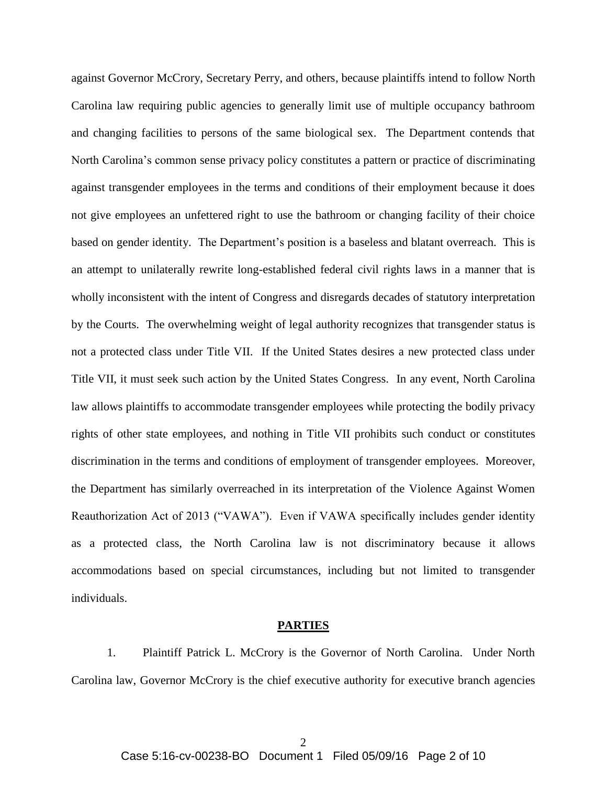against Governor McCrory, Secretary Perry, and others, because plaintiffs intend to follow North Carolina law requiring public agencies to generally limit use of multiple occupancy bathroom and changing facilities to persons of the same biological sex. The Department contends that North Carolina's common sense privacy policy constitutes a pattern or practice of discriminating against transgender employees in the terms and conditions of their employment because it does not give employees an unfettered right to use the bathroom or changing facility of their choice based on gender identity. The Department's position is a baseless and blatant overreach. This is an attempt to unilaterally rewrite long-established federal civil rights laws in a manner that is wholly inconsistent with the intent of Congress and disregards decades of statutory interpretation by the Courts. The overwhelming weight of legal authority recognizes that transgender status is not a protected class under Title VII. If the United States desires a new protected class under Title VII, it must seek such action by the United States Congress. In any event, North Carolina law allows plaintiffs to accommodate transgender employees while protecting the bodily privacy rights of other state employees, and nothing in Title VII prohibits such conduct or constitutes discrimination in the terms and conditions of employment of transgender employees. Moreover, the Department has similarly overreached in its interpretation of the Violence Against Women Reauthorization Act of 2013 ("VAWA"). Even if VAWA specifically includes gender identity as a protected class, the North Carolina law is not discriminatory because it allows accommodations based on special circumstances, including but not limited to transgender individuals.

#### **PARTIES**

1. Plaintiff Patrick L. McCrory is the Governor of North Carolina. Under North Carolina law, Governor McCrory is the chief executive authority for executive branch agencies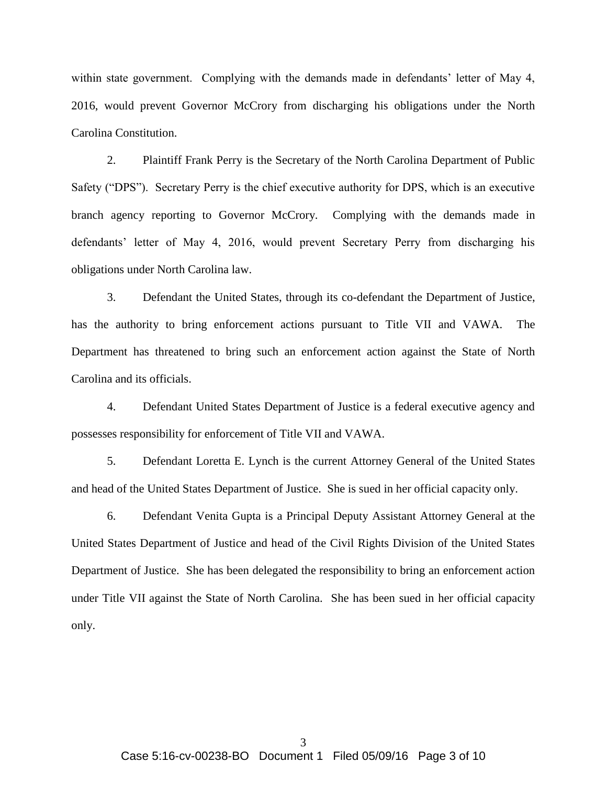within state government. Complying with the demands made in defendants' letter of May 4, 2016, would prevent Governor McCrory from discharging his obligations under the North Carolina Constitution.

2. Plaintiff Frank Perry is the Secretary of the North Carolina Department of Public Safety ("DPS"). Secretary Perry is the chief executive authority for DPS, which is an executive branch agency reporting to Governor McCrory. Complying with the demands made in defendants' letter of May 4, 2016, would prevent Secretary Perry from discharging his obligations under North Carolina law.

3. Defendant the United States, through its co-defendant the Department of Justice, has the authority to bring enforcement actions pursuant to Title VII and VAWA. The Department has threatened to bring such an enforcement action against the State of North Carolina and its officials.

4. Defendant United States Department of Justice is a federal executive agency and possesses responsibility for enforcement of Title VII and VAWA.

5. Defendant Loretta E. Lynch is the current Attorney General of the United States and head of the United States Department of Justice. She is sued in her official capacity only.

6. Defendant Venita Gupta is a Principal Deputy Assistant Attorney General at the United States Department of Justice and head of the Civil Rights Division of the United States Department of Justice. She has been delegated the responsibility to bring an enforcement action under Title VII against the State of North Carolina. She has been sued in her official capacity only.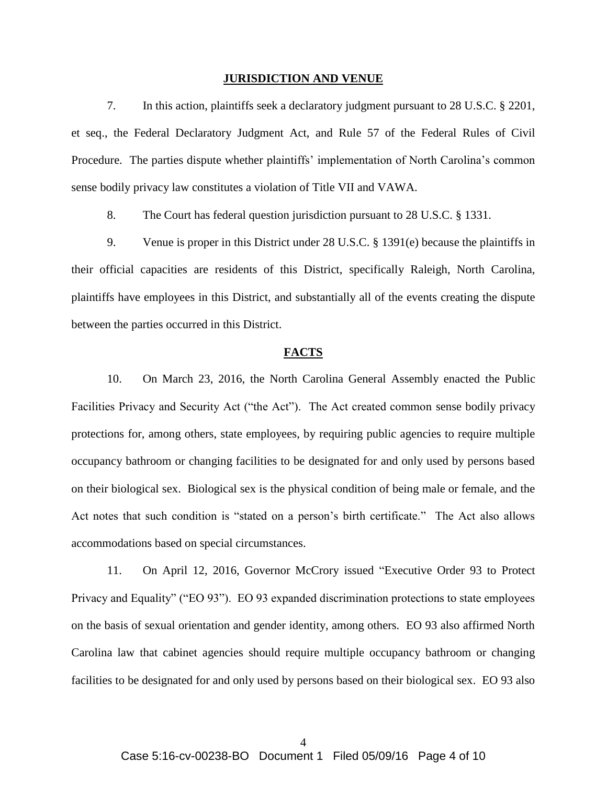#### **JURISDICTION AND VENUE**

7. In this action, plaintiffs seek a declaratory judgment pursuant to 28 U.S.C. § 2201, et seq., the Federal Declaratory Judgment Act, and Rule 57 of the Federal Rules of Civil Procedure. The parties dispute whether plaintiffs' implementation of North Carolina's common sense bodily privacy law constitutes a violation of Title VII and VAWA.

8. The Court has federal question jurisdiction pursuant to 28 U.S.C. § 1331.

9. Venue is proper in this District under 28 U.S.C. § 1391(e) because the plaintiffs in their official capacities are residents of this District, specifically Raleigh, North Carolina, plaintiffs have employees in this District, and substantially all of the events creating the dispute between the parties occurred in this District.

### **FACTS**

10. On March 23, 2016, the North Carolina General Assembly enacted the Public Facilities Privacy and Security Act ("the Act"). The Act created common sense bodily privacy protections for, among others, state employees, by requiring public agencies to require multiple occupancy bathroom or changing facilities to be designated for and only used by persons based on their biological sex. Biological sex is the physical condition of being male or female, and the Act notes that such condition is "stated on a person's birth certificate." The Act also allows accommodations based on special circumstances.

11. On April 12, 2016, Governor McCrory issued "Executive Order 93 to Protect Privacy and Equality" ("EO 93"). EO 93 expanded discrimination protections to state employees on the basis of sexual orientation and gender identity, among others. EO 93 also affirmed North Carolina law that cabinet agencies should require multiple occupancy bathroom or changing facilities to be designated for and only used by persons based on their biological sex. EO 93 also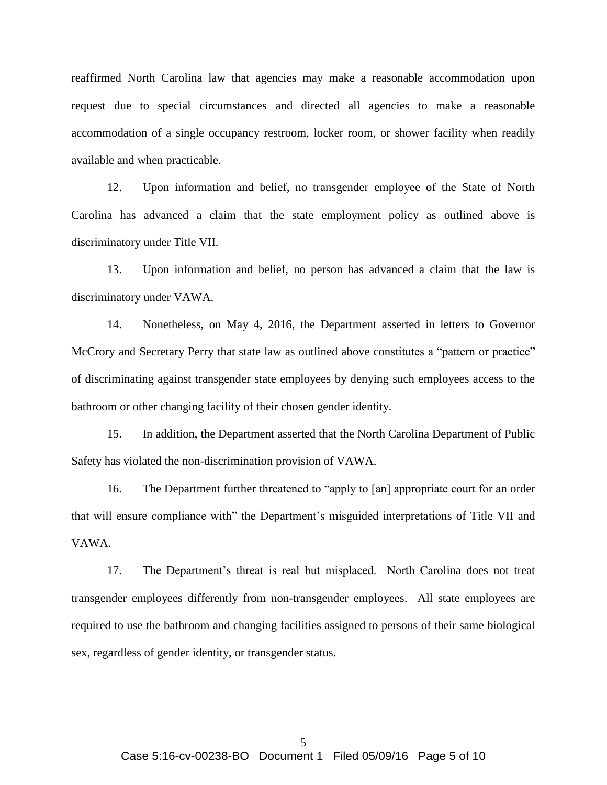reaffirmed North Carolina law that agencies may make a reasonable accommodation upon request due to special circumstances and directed all agencies to make a reasonable accommodation of a single occupancy restroom, locker room, or shower facility when readily available and when practicable.

12. Upon information and belief, no transgender employee of the State of North Carolina has advanced a claim that the state employment policy as outlined above is discriminatory under Title VII.

13. Upon information and belief, no person has advanced a claim that the law is discriminatory under VAWA.

14. Nonetheless, on May 4, 2016, the Department asserted in letters to Governor McCrory and Secretary Perry that state law as outlined above constitutes a "pattern or practice" of discriminating against transgender state employees by denying such employees access to the bathroom or other changing facility of their chosen gender identity.

15. In addition, the Department asserted that the North Carolina Department of Public Safety has violated the non-discrimination provision of VAWA.

16. The Department further threatened to "apply to [an] appropriate court for an order that will ensure compliance with" the Department's misguided interpretations of Title VII and VAWA.

17. The Department's threat is real but misplaced. North Carolina does not treat transgender employees differently from non-transgender employees. All state employees are required to use the bathroom and changing facilities assigned to persons of their same biological sex, regardless of gender identity, or transgender status.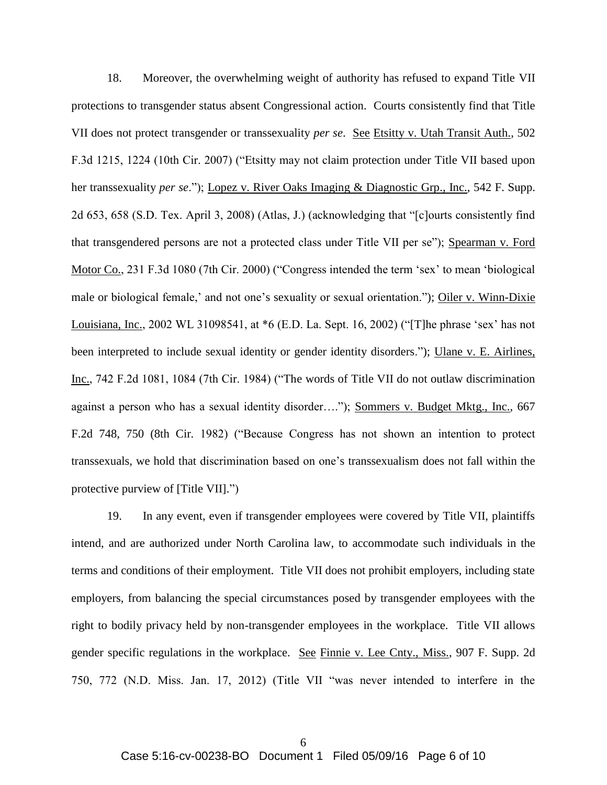18. Moreover, the overwhelming weight of authority has refused to expand Title VII protections to transgender status absent Congressional action. Courts consistently find that Title VII does not protect transgender or transsexuality *per se*. See Etsitty v. Utah Transit Auth., 502 F.3d 1215, 1224 (10th Cir. 2007) ("Etsitty may not claim protection under Title VII based upon her transsexuality *per se*."); Lopez v. River Oaks Imaging & Diagnostic Grp., Inc., 542 F. Supp. 2d 653, 658 (S.D. Tex. April 3, 2008) (Atlas, J.) (acknowledging that "[c]ourts consistently find that transgendered persons are not a protected class under Title VII per se"); Spearman v. Ford Motor Co., 231 F.3d 1080 (7th Cir. 2000) ("Congress intended the term 'sex' to mean 'biological male or biological female,' and not one's sexuality or sexual orientation."); Oiler v. Winn-Dixie Louisiana, Inc., 2002 WL 31098541, at \*6 (E.D. La. Sept. 16, 2002) ("[T]he phrase 'sex' has not been interpreted to include sexual identity or gender identity disorders."); Ulane v. E. Airlines, Inc., 742 F.2d 1081, 1084 (7th Cir. 1984) ("The words of Title VII do not outlaw discrimination against a person who has a sexual identity disorder…."); Sommers v. Budget Mktg., Inc., 667 F.2d 748, 750 (8th Cir. 1982) ("Because Congress has not shown an intention to protect transsexuals, we hold that discrimination based on one's transsexualism does not fall within the protective purview of [Title VII].")

19. In any event, even if transgender employees were covered by Title VII, plaintiffs intend, and are authorized under North Carolina law, to accommodate such individuals in the terms and conditions of their employment. Title VII does not prohibit employers, including state employers, from balancing the special circumstances posed by transgender employees with the right to bodily privacy held by non-transgender employees in the workplace. Title VII allows gender specific regulations in the workplace. See Finnie v. Lee Cnty., Miss., 907 F. Supp. 2d 750, 772 (N.D. Miss. Jan. 17, 2012) (Title VII "was never intended to interfere in the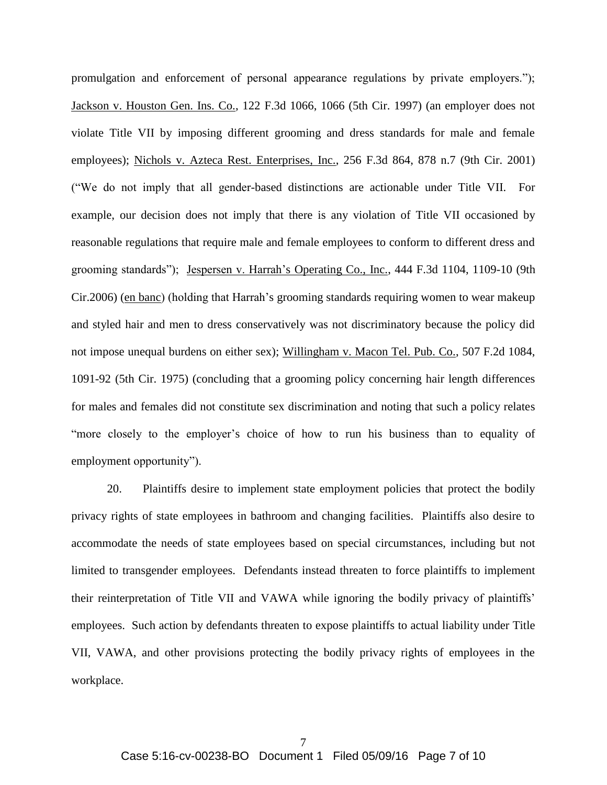promulgation and enforcement of personal appearance regulations by private employers."); Jackson v. Houston Gen. Ins. Co., 122 F.3d 1066, 1066 (5th Cir. 1997) (an employer does not violate Title VII by imposing different grooming and dress standards for male and female employees); Nichols v. Azteca Rest. Enterprises, Inc., 256 F.3d 864, 878 n.7 (9th Cir. 2001) ("We do not imply that all gender-based distinctions are actionable under Title VII. For example, our decision does not imply that there is any violation of Title VII occasioned by reasonable regulations that require male and female employees to conform to different dress and grooming standards"); Jespersen v. Harrah's Operating Co., Inc., 444 F.3d 1104, 1109-10 (9th Cir.2006) (en banc) (holding that Harrah's grooming standards requiring women to wear makeup and styled hair and men to dress conservatively was not discriminatory because the policy did not impose unequal burdens on either sex); Willingham v. Macon Tel. Pub. Co., 507 F.2d 1084, 1091-92 (5th Cir. 1975) (concluding that a grooming policy concerning hair length differences for males and females did not constitute sex discrimination and noting that such a policy relates "more closely to the employer's choice of how to run his business than to equality of employment opportunity").

20. Plaintiffs desire to implement state employment policies that protect the bodily privacy rights of state employees in bathroom and changing facilities. Plaintiffs also desire to accommodate the needs of state employees based on special circumstances, including but not limited to transgender employees. Defendants instead threaten to force plaintiffs to implement their reinterpretation of Title VII and VAWA while ignoring the bodily privacy of plaintiffs' employees. Such action by defendants threaten to expose plaintiffs to actual liability under Title VII, VAWA, and other provisions protecting the bodily privacy rights of employees in the workplace.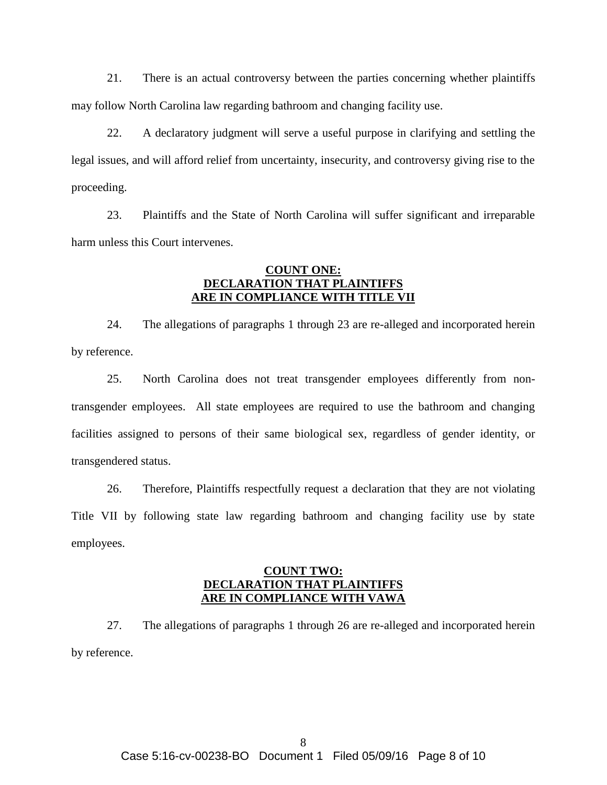21. There is an actual controversy between the parties concerning whether plaintiffs may follow North Carolina law regarding bathroom and changing facility use.

22. A declaratory judgment will serve a useful purpose in clarifying and settling the legal issues, and will afford relief from uncertainty, insecurity, and controversy giving rise to the proceeding.

23. Plaintiffs and the State of North Carolina will suffer significant and irreparable harm unless this Court intervenes.

# **COUNT ONE: DECLARATION THAT PLAINTIFFS ARE IN COMPLIANCE WITH TITLE VII**

24. The allegations of paragraphs 1 through 23 are re-alleged and incorporated herein by reference.

25. North Carolina does not treat transgender employees differently from nontransgender employees. All state employees are required to use the bathroom and changing facilities assigned to persons of their same biological sex, regardless of gender identity, or transgendered status.

26. Therefore, Plaintiffs respectfully request a declaration that they are not violating Title VII by following state law regarding bathroom and changing facility use by state employees.

## **COUNT TWO: DECLARATION THAT PLAINTIFFS ARE IN COMPLIANCE WITH VAWA**

27. The allegations of paragraphs 1 through 26 are re-alleged and incorporated herein by reference.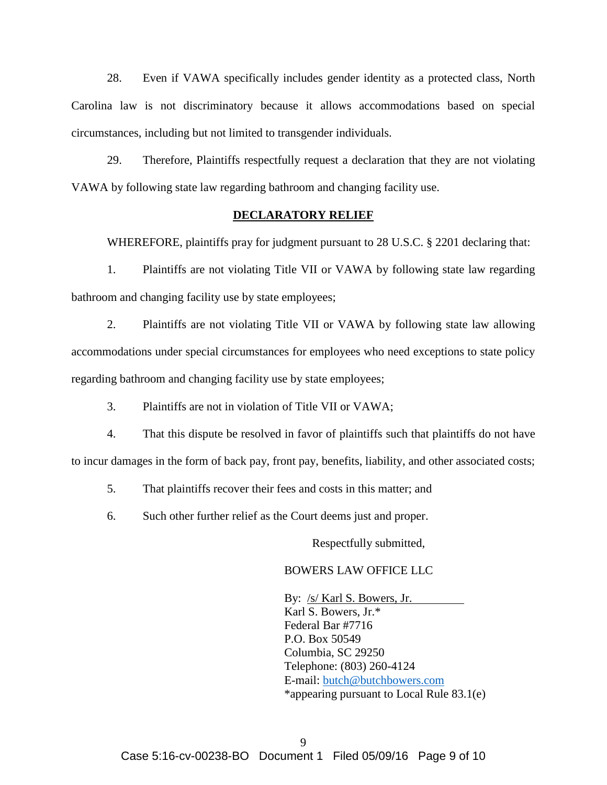28. Even if VAWA specifically includes gender identity as a protected class, North Carolina law is not discriminatory because it allows accommodations based on special circumstances, including but not limited to transgender individuals.

29. Therefore, Plaintiffs respectfully request a declaration that they are not violating VAWA by following state law regarding bathroom and changing facility use.

## **DECLARATORY RELIEF**

WHEREFORE, plaintiffs pray for judgment pursuant to 28 U.S.C. § 2201 declaring that:

1. Plaintiffs are not violating Title VII or VAWA by following state law regarding bathroom and changing facility use by state employees;

2. Plaintiffs are not violating Title VII or VAWA by following state law allowing accommodations under special circumstances for employees who need exceptions to state policy regarding bathroom and changing facility use by state employees;

3. Plaintiffs are not in violation of Title VII or VAWA;

4. That this dispute be resolved in favor of plaintiffs such that plaintiffs do not have to incur damages in the form of back pay, front pay, benefits, liability, and other associated costs;

5. That plaintiffs recover their fees and costs in this matter; and

6. Such other further relief as the Court deems just and proper.

Respectfully submitted,

### BOWERS LAW OFFICE LLC

By: /s/ Karl S. Bowers, Jr. Karl S. Bowers, Jr.\* Federal Bar #7716 P.O. Box 50549 Columbia, SC 29250 Telephone: (803) 260-4124 E-mail: [butch@butchbowers.com](mailto:butch@butchbowers.com) \*appearing pursuant to Local Rule 83.1(e)